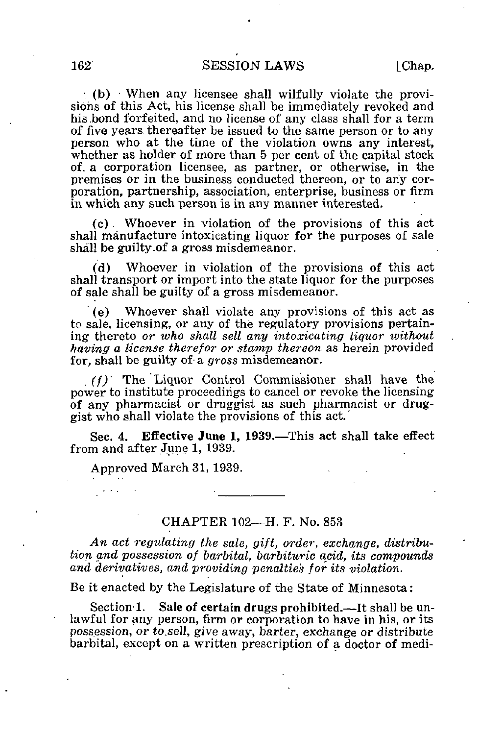$($  (b) When any licensee shall wilfully violate the provisions of this Act, his license shall be immediately revoked and his .bond forfeited, and no license of any class shall for a term of five years thereafter be issued to the same person or to any person who at the time of the violation owns any interest, whether as holder of more than 5 per cent of the capital stock of. a corporation licensee, as partner, or otherwise, in the premises or in the business conducted thereon, or to any corporation, partnership, association, enterprise, business or firm in which any such person is in any manner interested.

(c). Whoever in violation of the provisions of this act shall manufacture intoxicating liquor for the purposes of sale shall be guilty.of a gross misdemeanor.

(d) Whoever in violation of the provisions of this act shall transport or import into the state liquor for the purposes of sale shall be guilty of a gross misdemeanor.

(e) Whoever shall violate any provisions of this act as to sale, licensing, or any of the regulatory provisions pertaining thereto or who shall sell any intoxicating liquor without having a license therefor or stamp thereon as herein provided for, shall be guilty of a gross misdemeanor.

. (f) The Liquor Control Commissioner shall have the power to institute proceedings to cancel or revoke the licensing of any pharmacist or druggist as such pharmacist or druggist who shall violate the provisions of this act.'

Sec. 4. Effective June 1, 1939.—This act shall take effect from and after June 1, 1939.

Approved March 31, 1939.

## CHAPTER 102—H. F. No. 853

An act regulating the sale, gift, order, exchange, distribution and possession of barbital, barbituric acid, its compounds and derivatives, and providing penalties for its violation.

Be it enacted by the Legislature of the State of Minnesota:

Section 1. Sale of certain drugs prohibited.—It shall be unlawful for any person, firm or corporation to have in his, or its possession, or to.sell, give away, barter, exchange or distribute barbital, except on a written prescription of a doctor of medi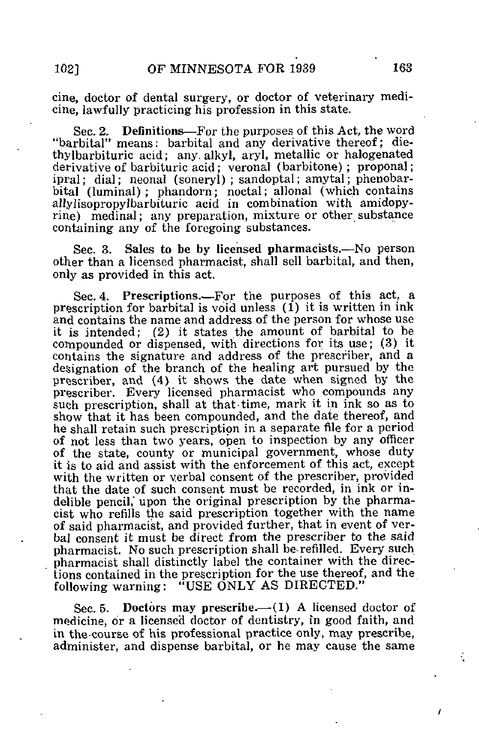cine, doctor of dental surgery, or doctor of veterinary medicine, lawfully practicing his profession in this state.

Sec. 2, Definitions—For the purposes of this Act, the word "barbital" means: barbital and any derivative thereof; diethylbarbituric acid; any alkyl, aryl, metallic or halogenated derivative of barbituric acid; veronal (barbitone) ; proponal; ipral; dial; neonal (soneryl) ; sandoptal; amytal; phenobarbital (luminal) ; phandorn; noctal; allonal (which contains allylisopropylbarbituric acid in combination with amidopyrine) medinal; any preparation, mixture or other substance containing any of the foregoing substances.

Sec. 3. Sales to be by licensed pharmacists.—No person other than a licensed pharmacist, shall sell barbital, and then, only as provided in this act.

Sec. 4. Prescriptions.—For the purposes of this act, a prescription for barbital is void unless (1) it is written in ink and contains the name and address of the person for whose use it is intended; (2) it states the amount of barbital to be compounded or dispensed, with directions for its use; (3) it contains the signature and address of the prescriber, and a designation of the branch of the healing art pursued by the prescriber, and (4) it shows the date when signed by the prescriber. Every licensed pharmacist who compounds any such prescription, shall at that-time, mark it in ink so as to show that it has been compounded, and the date thereof, and he shall retain such prescription in a separate file for a period of not less than two years, open to inspection by any officer of the state, county or municipal government, whose duty it is to aid and assist with the enforcement of this act, except with the written or verbal consent of the prescriber, provided that the date of such consent must be recorded, in ink or indelible pencil, upon the original prescription by the pharmacist who refills the said prescription together with the name of said pharmacist, and provided further, that in event of verbal consent it must be direct from the prescriber to the said pharmacist. No such prescription shall be refilled. Every such pharmacist shall distinctly label the container with the directions contained in the prescription for the use thereof, and the following warning: "USE ONLY AS DIRECTED."

Sec. 5. Doctors may prescribe.— $(1)$  A licensed doctor of medicine, or a licensed doctor of dentistry, in good faith, and in the-course of his professional practice only, may prescribe, administer, and dispense barbital, or he may cause the same